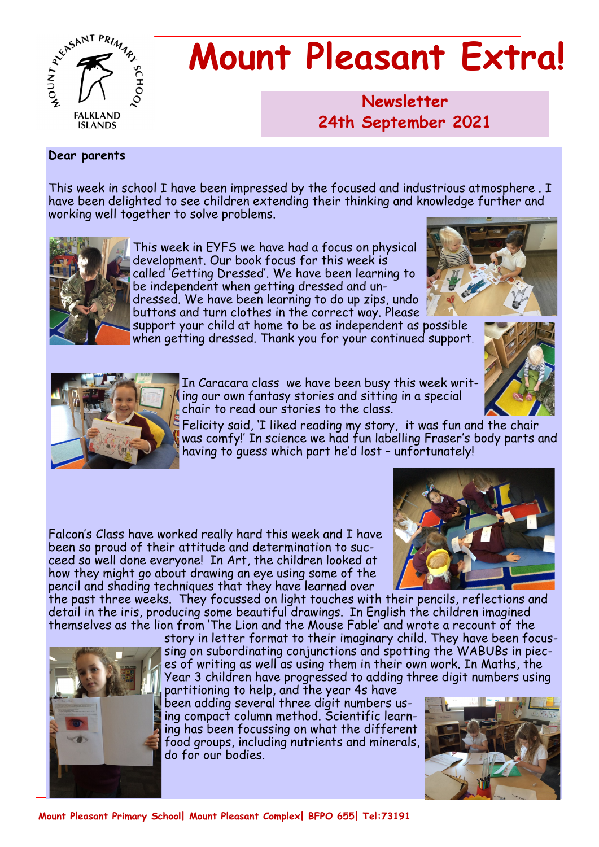

# **Mount Pleasant Extra!**

**Newsletter 1986 24th September 2021**

#### **Dear parents**

This week in school I have been impressed by the focused and industrious atmosphere . I have been delighted to see children extending their thinking and knowledge further and working well together to solve problems.



This week in EYFS we have had a focus on physical development. Our book focus for this week is called 'Getting Dressed'. We have been learning to be independent when getting dressed and undressed. We have been learning to do up zips, undo

buttons and turn clothes in the correct way. Please support your child at home to be as independent as possible

when getting dressed. Thank you for your continued support.







In Caracara class we have been busy this week writing our own fantasy stories and sitting in a special chair to read our stories to the class.

Felicity said, 'I liked reading my story, it was fun and the chair was comfy!' In science we had fun labelling Fraser's body parts and having to guess which part he'd lost – unfortunately!

Falcon's Class have worked really hard this week and I have been so proud of their attitude and determination to succeed so well done everyone! In Art, the children looked at how they might go about drawing an eye using some of the pencil and shading techniques that they have learned over



the past three weeks. They focussed on light touches with their pencils, reflections and detail in the iris, producing some beautiful drawings. In English the children imagined themselves as the lion from 'The Lion and the Mouse Fable' and wrote a recount of the



story in letter format to their imaginary child. They have been focussing on subordinating conjunctions and spotting the WABUBs in pieces of writing as well as using them in their own work. In Maths, the Year 3 children have progressed to adding three digit numbers using partitioning to help, and the year 4s have

been adding several three digit numbers using compact column method. Scientific learning has been focussing on what the different food groups, including nutrients and minerals, do for our bodies.